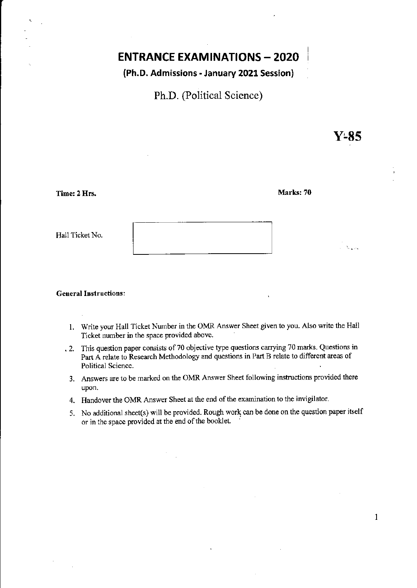# **ENTRANCE EXAMINATIONS - 2020**

## (Ph.D. Admissions· January 2021 Session)

Ph.D. (Political Science)

Y-85

 $1.312$ 

1

| Time: 2 Hrs. |  |  |
|--------------|--|--|
|              |  |  |
|              |  |  |

Marks: 70

Hall Ticket No.

#### **General Instructions:**

- 1. Write your Hall Ticket Number in the OMR Answer Sheet given to you. Also write the Hall Ticket number **in** the space provided above .
- . 2. This question paper consists of 70 objective type questions carrying 70 marks. Questions in Part A relate to Research Methodology and questions in Part B relate to different areas of Political Science.
	- 3. Answers are to be marked on the OMR Answer Sheet following instructions provided there upon.
	- 4. Handover the OMR Answer Sheet at the end of the examination to the invigilator.
	- 5. No additional sheet(s) will be provided. Rough work can be done on the question paper itself or in the space provided at the end of the booklet.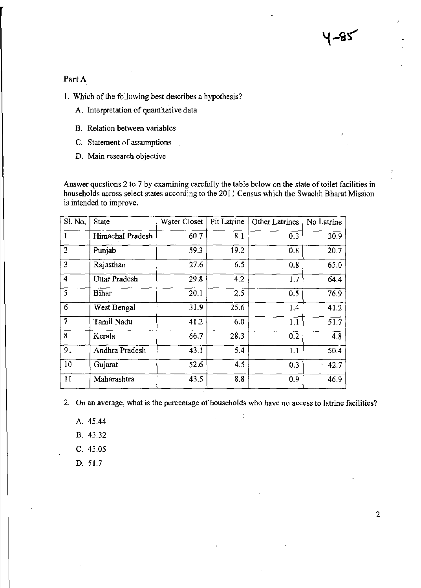## Part A

**1. Which** of the **following best describes a hypothesis?** 

- A. **Interpretation of quantitative data**
- **B. Relation between variables**
- **C. Statement of assumptions**
- **D. Main research objective**

**Answer questions 2 to 7 by examining carefully the table below on the state oftoilet facilities in households across select states according to the 2011 Census which the Swachh Bharat Mission is intended to improve.** 

| Sl. No.                 | State            | Water Closet | Pit Latrine | <b>Other Latrines</b> | No Latrine   |
|-------------------------|------------------|--------------|-------------|-----------------------|--------------|
|                         | Himachal Pradesh | 60.7         | 8.1         | 0.3                   | 30.9         |
| $\overline{2}$          | Punjab           | 59.3         | 19.2        | 0.8                   | 20.7         |
| 3                       | Rajasthan        | 27.6         | 6.5         | 0.8                   | 65.0         |
| $\overline{\mathbf{4}}$ | Uttar Pradesh    | 29.8         | 4.2         | 1.7                   | 64.4         |
| $\overline{\mathsf{S}}$ | <b>Bihar</b>     | 20.1         | 2.5         | 0.5                   | 76.9         |
| 6                       | West Bengal      | 31.9         | 25.6        | 1.4                   | 41.2         |
| 7                       | Tamil Nadu       | 41.2         | 6.0         | 1.1                   | 51.7         |
| 8                       | Kerala           | 66.7         | 28.3        | 0.2                   | 4.8          |
| 9.                      | Andhra Pradesh   | 43.1         | 5.4         | 1.1                   | 50.4         |
| 10                      | Gujarat          | 52.6         | 4.5         | 0.3                   | $\cdot$ 42.7 |
| 11                      | Maharashtra      | 43.5         | 8.8         | 0.9                   | 46.9         |

**2. On an average, what is the percentage** of households **who have no access to latrine facilities?** 

 $\ddot{\cdot}$ 

A. 45.44

B. 43.32

- C. 45.05
- D. 51.7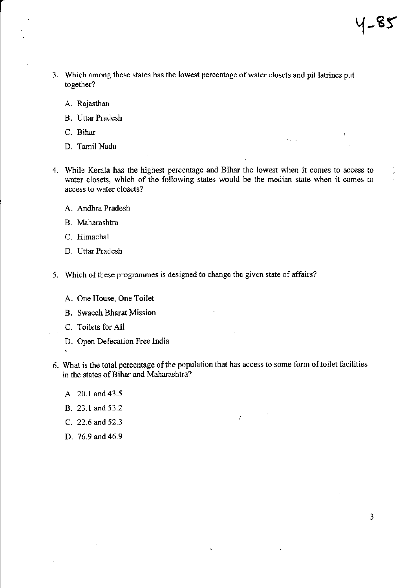- 3. Which among these states has the lowest percentage of water closets and pit latrines put together?
	- A. Rajasthan
	- B. Uttar Pradesh
	- c. Bihar

ċ

- D. Tamil Nadu
- 4. While Kerala has the highest percentage and Bihar the lowest when it comes to access to water closets, which of the following states would be the median state when it comes to access to water closets?
	- A. Andhra Pradesh
	- B. Maharashtra
	- C. Himachal
	- D. Uttar Pradesh
- 5. Which of these programmes is designed to change the given state of affairs?
	- A. One House, One Toilet
	- B. Swacch Bharat Mission
	- C. Toilets for All
	- D. Open Defecation Free India
	-
- 6. What is the total percentage of the population that has access to some form of.toilet facilities in the states of Bihar and Maharashtra?

 $\ddot{\cdot}$ 

- A. 20.1 and 43.5
- B. 23.1 and 53.2
- C. 22.6 and 52.3
- D. 76.9 and 46.9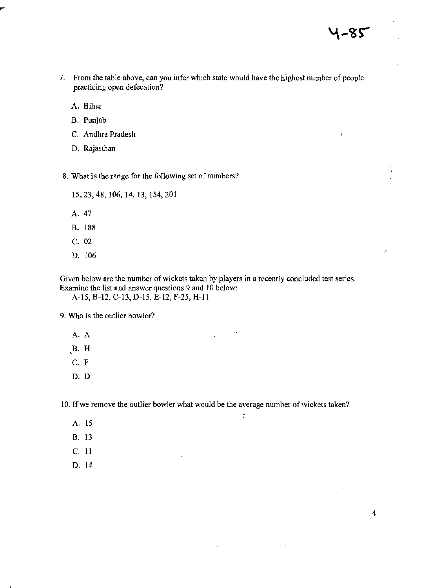- 7. From the table above, can you infer which state would have the highest number of people practicing open defecation?
	- A. Bihar
	- B. Punjab
	- C. Andhra Pradesh
	- D. Rajasthan

8. What is the range for the following set of numbers?

- 15.23,48,106,14,13,154,201
- A.47
- B. 188
- C. 02
- D. 106

Given below are the number of wickets taken by players in a recently concluded test series. Examine the list and answer questions 9 and 10 below:

A-15, B-12, C-13, D-15, E-12, F-25, H-II

9. Who is the outlier bowler?

- A. A
- B. H
- C. F
- D. D

10. If we remove the outlier bowler what would be the average number of wickets taken?

 $\frac{1}{4}$ 

- A. 15
- B. 13
- C. II
- D. 14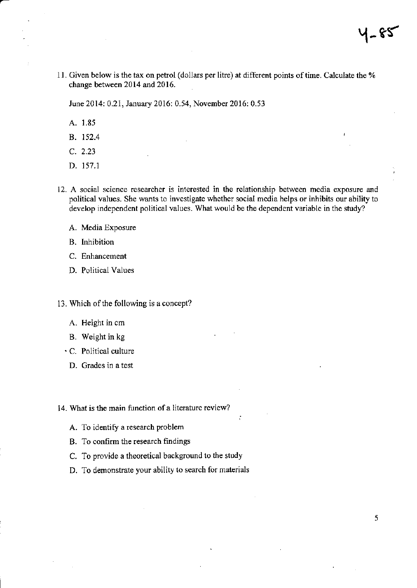11. Given below is the tax on petrol (dollars per litre) at different points of time. Calculate the % change between 2014 and 2016.

June 2014: 0.21, January 2016: 0.54, November 2016: 0.53

- A. 1.85
- B. 152.4
- C. 2.23
- D. 157.1
- 12. A social science researcher is interested in the relationship between media exposure and political values. She wants to investigate whether social media helps or inhibits our ability to develop independent political values. What would be the dependent variable in the study?
	- A. Media Exposure
	- B. Inhibition
	- C. Enhancement
	- D. Political Values
- 13. Which of the following is a concept?
	- A. Height in cm
	- B. Weight in kg
	- C. Political culture
		- D. Grades in a test

14. What is the main function of a literature review?

- A. To identify a research problem
- B. To confirm the research findings
- C. To provide a theoretical background to the study
- D. To demonstrate your ability to search for materials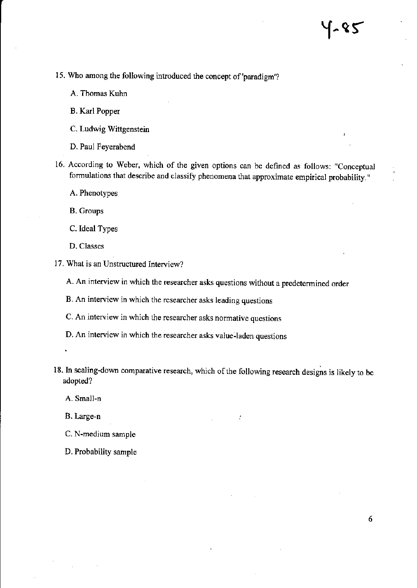- 15. Who among the following introduced the concept of 'paradigm'?
	- A. Thomas Kuhn
	- B. Karl Popper
	- C. Ludwig Wittgenstein
	- D. Paul Feyerabend
- 16. According to Weber, which of the given options can be defined as follows: "Conceptual formulations that describe and classify phenomena that approximate empirical probability."
	- A. Phenotypes
	- B. Groups
	- C. Ideal Types
	- D. Classes
- 17. What is an Unstructured Interview?
	- A. An interview in which the researcher asks questions without a predetennined order
	- B. An interview in which the researcher asks leading questions
	- C. An interview in which the researcher asks normative questions
	- D. An interview in which the researcher asks value-laden questions
- 18. In scaling-down comparative research, which of the following research designs is likely to be adopted?
	- A. Small-n
	- B. Large-n
	- C. N-medium sample
	- D. Probability sample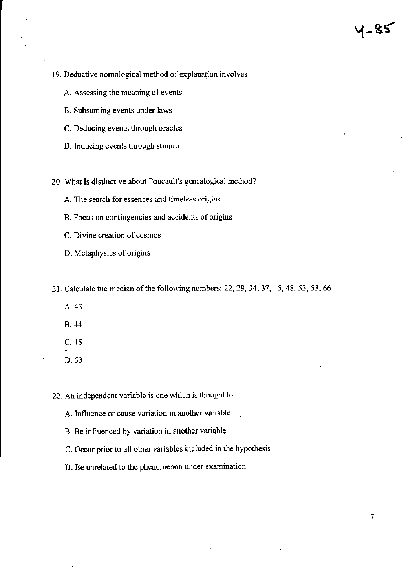7

- 19, Deductive nomological method of explanation involves
	- A. Assessing the meaning of events
	- B. Subsuming events under laws
	- C. Deducing events through oracles
	- D. Inducing events through stimuli

20. What is distinctive about Foucault's genealogical method?

- A. The search for essences and timeless origins
- B. Focus on contingencies and accidents of origins
- C. Divine creation of cosmos
- D. Metaphysics of origins
- 21. Calculate the median of the following numbers: 22,29,34,37,45,48,53,53,66
	- A.43
	- B.44
	- C. 45
	- D.53

22. An independent variable is one which is thought to:

- A. Influence or cause variation in another variable
- B. Be influenced by variation **in** another variable
- C. Occur prior to all other variables included in the hypothesis
- D. Be unrelated to the phenomenon under examination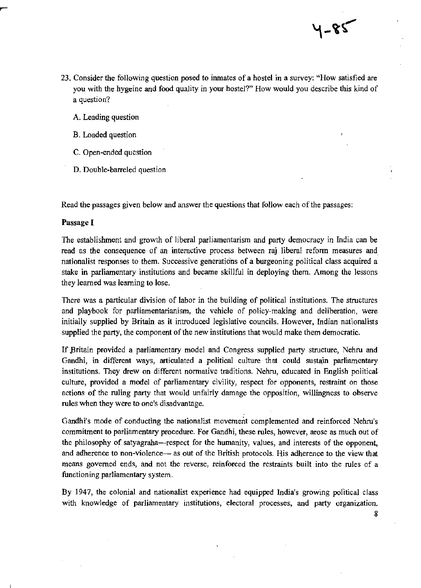23. Consider the following question posed to inmates of a hostel in a survey: "How satisfied are you with the hygeine and food quality in your hostel?" How would you describe this kind of a question?

५-४९

- A. Leading question
- B. Loaded question
- C. Open-ended question
- D. Double-barreled question

Read the passages given below and answer the questions that follow each of the passages:

#### Passage I

The establishment and growth of liberal parliamentarism and party democracy in India can be read as the consequence of an interactive process between raj liberal refonn measures and nationalist responses to them. Successive generations of a burgeoning political class acquired a stake in parliamentary institutions and became skillful in deploying them. Among the lessons they learned was learning to lose.

There was a particular division of labor in the building of political institutions. The structures and playbook for parliamentarianism, the vehicle of policy-making and deliberation, were initially supplied by Britain as it introduced legislative councils. However, Indian nationalists supplied the party, the component of the new institutions that would make them democratic.

If Britain provided a parliamentary model and Congress supplied party structure, Nehru and Gandhi, in different ways, articulated a political culture that could sustajn parliamentary institutions. They drew on different normative traditions. Nehru, educated in English political culture, provided a model of parliamentary civility, respect for opponents, restraint on those actions of the ruling party that would unfairly damage the opposition, willingness to observe rules when they were to one's disadvantage.

Gandhi's mode of conducting the nationalist movement complemented and reinforced Nehru's commitment to parliamentary procedure. For Gandhi, these rules, however, arose as much out of the philosophy of satyagraha—respect for the humanity, values, and interests of the opponent, and adherence to non-violence- as out of the British protocols. His adherence to the view that means governed ends, and not the reverse, reinforced the restraints built into the rules of a functioning parliamentary system.

By 1947, the colonial and nationalist experience had equipped India's growing political class with knowledge of parliamentary institutions, electoral processes, and party organization.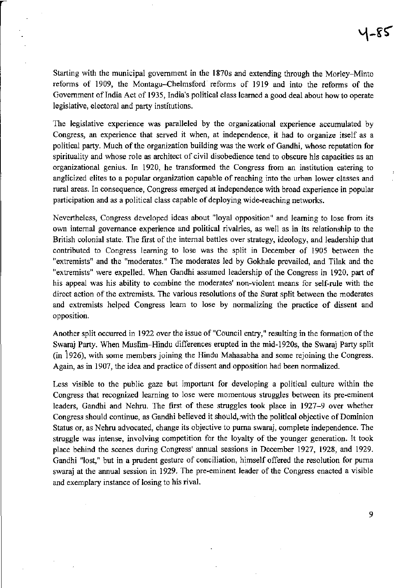Starting with the municipal government in the 1870s and extending through the Morley-Minto reforms of 1909, the Montagu-Chelmsford reforms of 1919 and into the reforms of the Government of India Act of 1935, India's political class learned a good deal about how to operate legislative, electoral and party institutions.

The legislative experience was paralleled by the organizational experience accumulated by Congress, an experience that served it when, at independence, it had to organize itself as a political party. Much of the organization building was the work of Gandhi, whose reputation for spirituality and whose role as architect of civil disobedience tend to obscure his capacities as an organizational genius. In 1920, he transformed the Congress from an institution catering to anglicized elites to a popular organization capable of reaching into the urban lower classes and rural areas. In consequence, Congress emerged at independence with broad experience in popular participation and as a political class capable of deploying wide-reaching networks.

Nevertheless, Congress developed ideas about "loyal opposition" and learning to lose from its own internal governance experience and political rivalries, as well as in its relationship to the British colonial state. The first of the internal battles over strategy, ideology, and leadership that contributed to Congress learning to lose was the split in December of 1905 between the "extremists" and the "moderates." The moderates led by Gokhale prevailed, and Tilak and the "extremists" were expelled. When Gandhi assumed leadership of the Congress in 1920, part of his appeal was his ability to combine the moderates' non-violent means for self-rule with the direct action of the extremists. The various resolutions of the Surat split between the moderates and extremists helped Congress learn to lose by normalizing the practice of dissent and opposition.

Another split occurred in 1922 over the issue of "Council entry," resulting in the formation of the Swaraj Party. When Muslim-Hindu differences erupted in the mid-1920s, the Swaraj Party split  $(in 1926)$ , with some members joining the Hindu Mahasabha and some rejoining the Congress. Again, as in 1907, the idea and practice of dissent and opposition had been normalized.

Less visible to the public gaze but important for developing a political culture within the Congress that recognized learning to lose were momentous struggles between its pre-eminent leaders, Gandhi and Nehru. The first of these struggles took place in 1927-9 over whether Congress should continue, as Gandhi believed it should,:with the political objective of Dominion Status or, as Nehru advocated, change its objective to puma swaraj, complete independence. The struggle was intense, involving competition for the loyalty of the younger generation. It took place behind the scenes during Congress' annual sessions in December 1927, 1928, and 1929. Gandhi "lost," but in a prudent gesture of conciliation, himself offered the resolution for puma swaraj at the annual session in 1929. The pre-eminent leader of the Congress enacted a visible and exemplary instance of losing to his rival.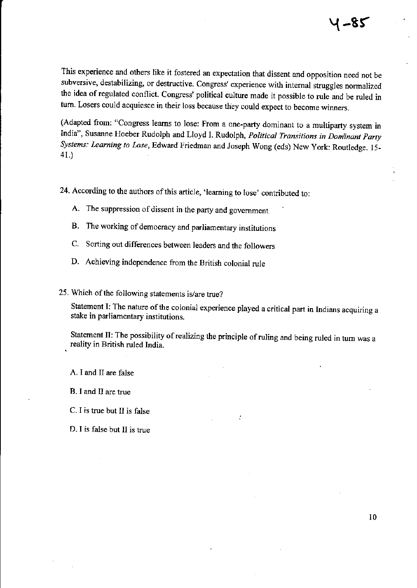This experience and others like it fostered an expectation that dissent and opposition need not be subversive, destabilizing, or destructive. Congress' experience with internal struggles normalized the idea of regulated conflict. Congress' political culture made it possible to rule and be ruled in tum. Losers could acquiesce in their loss because they could expect to become winners.

(Adapted from: "Congress learns to lose: From a one-party dominant to a multiparty system in India", Susanne Hoeber Rudolph and Lloyd I. Rudolph, *Political Transitions in Dom'inant Party Systems: Learning to Lose,* Edward Friedman and Joseph Wong (eds) New York: Routledge. 15- 41.)

24. According to the authors of this article, 'learning to lose' contributed to:

- A. The suppression of dissent in the party and government
- B. The working of democracy and parliamentary institutions
- C. Sorting out differences between leaders and the followers
- D. Achieving independence from the British colonial rule

25. Which of the following statements is/are true?

Statement I: The nature of the colonial experience played a critical part in Indians acquiring a stake in parliamentary institutions.

Statement II: The possibility of realizing the principle of ruling and being ruled in turn was a reality in British ruled India.

A. I and II are false

B. I and II are true

C. I is true but II is false

D. I is false but II is true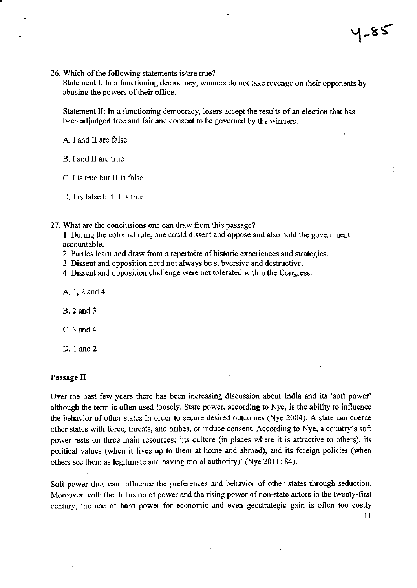- $1 85$
- 26. Which of the following statements is/are true? Statement I: In a functioning democracy, winners do not take revenge on their opponents by

abusing the powers of their office.

Statement II: In a functioning democracy, losers accept the results of an election that has been adjudged free and fair and consent to be governed by the winners.

A. I and II are false

B. I and II are true

C. I is true but II is false

D. I is false but II is true

27. What are the conclusions one can draw from this passage?

1. During the colonial rule, one could dissent and oppose and also hold the government accountable.

- 2. Parties learn and draw from a repertoire of historic experiences and strategies.
- 3. Dissent and opposition need not always be subversive and destructive.
- 4. Dissent and opposition challenge were not tolerated within the Congress.

A.l,2and4

B.2and3

C.3and4

D. 1 and 2

#### Passage II

Over the past few years there has been increasing discussion about India and its 'soft power' although the term is often used loosely. State power, according to Nye, is the ability to influence the behavior of other states in order to secure desired outcomes (Nye 2004). A state can coerce other states with force, threats, and bribes, or induce consent. According to Nye, a country's soft power rests on three main resources: 'its culture (in places where it is attractive to others), its political values (when it lives up to them at home and abroad), and its foreign policies (when others see them *as* legitimate and having moral authority)' (Nye 2011: 84).

Soft power thus can influence the preferences and behavior of other states through seduction. Moreover, with the diffusion of power and the rising power of non-state actors in the twenty-first century, the use of hard power for economic and even geostrategic gain is often too costly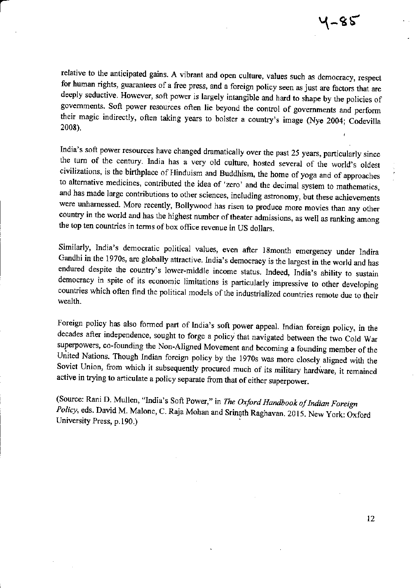relative to the anticipated gains. A vibrant and open culture, values such as democracy, respect for human rights, guarantees of a free press, and a foreign policy seen as just are factors that are deeply seductive. However, soft power is largely intangible and hard to shape by the policies of governments. Soft power resources often lie beyond the control of governments and perform their magic indirectly, often taking years to bolster a country's image (Nye 2004; Codevilla 2008).

a

India's soft power resources have changed dramatically over the past 25 years, particularly since the turn of the century. India has a very old culture, hosted several of the world's oldest civilizations, is the birthplace of Hinduism and Buddhism, the home of yoga and of approaches to alternative medicines, contributed the idea of 'zero' and the decimal system to mathematics, and has made large contributions to other sciences, including astronomy, but these achievements were unharnessed. More recently, Bollywood has risen to produce more movies than any other country in the world and has the highest number of theater admissions, as well as ranking among the top ten countries in terms of box office revenue in US dollars.

Similarly, India's democratic political values, even after 18month emergency under Indira Gandhi in the 1970s, are globally attractive. India's democracy is the largest in the world and has endured despite the country's lower-middle income status. Indeed, India's ability to sustain democracy in spite of its economic limitations is particularly impressive to other developing countries which often find the political models of the industrialized countries remote due to their wealth.

Foreign policy has also formed part of India's soft power appeal. Indian foreign policy, in the decades after independence, sought to forge a policy that navigated between the two Cold War superpowers, co-founding the Non-Aligned Movement and becoming a founding member of the<br>United Nations. Though Indian foreign policy by the 1970s was more closely aligned with the Soviet Union, from which it subsequently procured much of its military hardware, it remained active in trying to articulate a policy separate from that of either superpower.

(Source: Rani D. Mullen, "India's Soft Power," in The Oxford Handbook of Indian Foreign Policy, eds. David M. Malone, C. Raja Mohan and Srinath Raghavan. 2015. New York: Oxford University Press, p. 190.)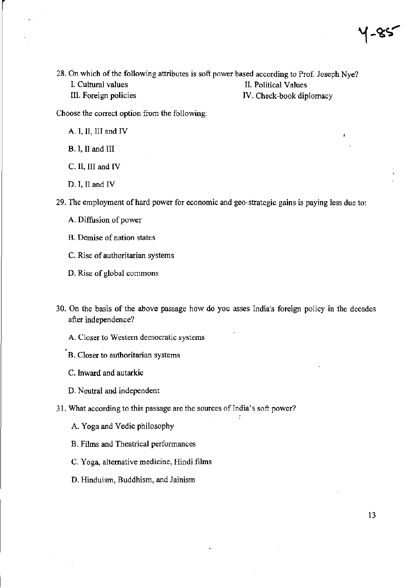28. On which of the following attributes is soft power based according to Prof. Joseph Nye? 1. Cultural values II. Political Values III. Foreign policies IV. Check-book diplomacy

Choose the correct option from the following:

A. I, II, III and IV

B. I, II and III

C. II, III and IV

D. I, II and IV

29. The employment of hard power for economic and geo-strategic gains is paying less due to:

- A. Diffusion of power
- B. Demise of nation states

C. Rise of authoritarian systems

D. Rise of global commons

- 30. On the basis of the above passage how do you asses India's foreign policy in the decades after independence?
	- A. Closer to Western democratic systems
	- B. Closer to authoritarian systems
	- C. Inward and autarkic
	- D. Neutral and independent
- 31. What according to this passage are the sources of India's soft power?
	- A. Yoga and Vedic philosophy
	- B. Films and Theatrical performances
	- C. Yoga, alternative medicine, Hindi films
	- D. Hinduism, Buddhism, and Jainism

4-85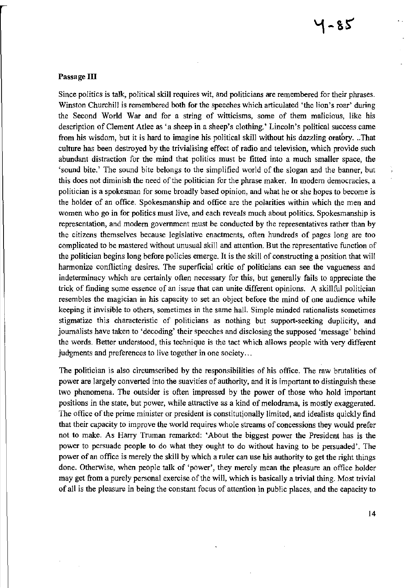#### Passage **III**

Since politics is talk, political skill requires wit, and politicians are remembered for their phrases. Winston Churchill is remembered both for the speeches which articulated 'the lion's roar' during the Second World War and for a string of witticisms, some of them malicious, like his description of Clement Atlee as 'a sheep in a sheep's clothing.' Lincoln's political success came from his wisdom, but it is hard to imagine his political skill without his dazzling oratory. ..That culture has been destroyed by the trivialising effect of radio and television, which provide such abundant distraction for the mind that politics must be fitted into a much smaller space, the 'sound bite.' The sound bite belongs to the simplified world of the slogan and the banner, but this does not diminish the need of the politician for the phrase maker. In modem democracies, a politician is a spokesman for some broadly based opinion, and what he or she hopes to become is the holder of an office. Spokesmanship and office are the polarities within which the men and women who go in for politics must live, and each reveals much about politics. Spokesmanship is representation, and modem government must be conducted by the representatives rather than by the citizens themselves because legislative enactments, often hundreds of pages long are too complicated to be mastered without unusual skill and attention. But the representative function of the politician begins long before policies emerge. It is the skill of constructing a position that will harmonize conflicting desires. The superficial critic of politicians can see the vagueness and indeterminacy which are certainly often necessary for this, but generally fails to appreciate the trick of finding some essence of an issue that can unite different opinions. A skillful politician resembles the magician in his capacity to set an object before the mind of one audience while keeping it invisible to others, sometimes in the same hall. Simple minded rationalists sometimes stigmatize this characteristic of politicians as nothing but support-seeking duplicity, and journalists have taken to 'decoding' their speeches and disclosing the supposed 'message' behind the words. Better understood, this technique is the tact which allows people with very different judgments and preferences to live together in one society...

The politician is also circumscribed by the responsibilities of his office. The raw brutalities of power are largely converted into the suavities of authority, and it is important to distinguish these two phenomena. The outsider is often impressed by the power of those who hold important positions in the state, but power, while attractive as a kind of melodrama, is mostly exaggerated. The office of the prime minister or president is constitutionally limited, and idealists quickly find that their capacity to improve the world requires whole streams of concessions they would prefer not to make. As Harry Truman remarked: 'About the biggest power the President has is the power to persuade people to do what they ought to do without having to be persuaded'. The power of an office is merely the skill by which a ruler can use his authority to get the right things done. Otherwise, when people talk of 'power', they merely mean the pleasure an office holder may get from a purely personal exercise of the will, which is basically a trivial thing. Most trivial of all is the pleasure in being the constant focus of attention in public places, and the capacity to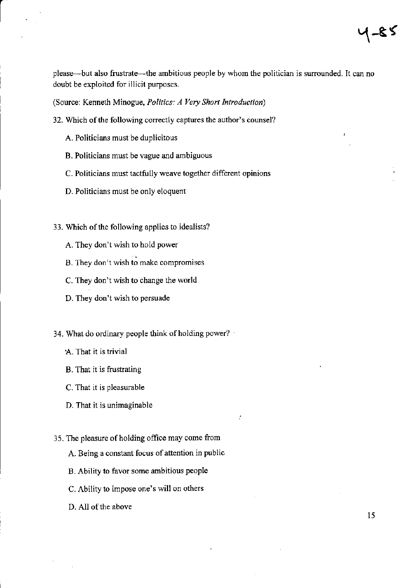$4 - 85$ 

please-but also frustrate-the ambitious people by whom the politician is surrounded. It can no doubt be exploited for illicit purposes.

(Source: Kenneth Minogue, *Politics: A Very Short Introduction)* 

- 32. Which of the following correctly captures the author's counsel?
	- A. Politicians must be duplicitous
	- B. Politicians must be vague and ambiguous
	- C. Politicians must tactfully weave together different opinions
	- D. Politicians must be only eloquent
- 33. Which of the following applies to idealists?
	- A. They don't wish to hold power
	- B. They don't wish to make compromises
	- C. They don't wish to change the world
	- D. They don't wish to persuade

34. What do ordinary people think of holding power? .

- A. That it is trivial
- B. That it is frustrating
- C. That it is pleasurable
- D. That it is unimaginable
- 35. The pleasure of holding office may come from
	- A. Being a constant focus of attention in public
	- B. Ability to favor some ambitious people
	- c. Ability to impose one's will on others
	- D. All of the above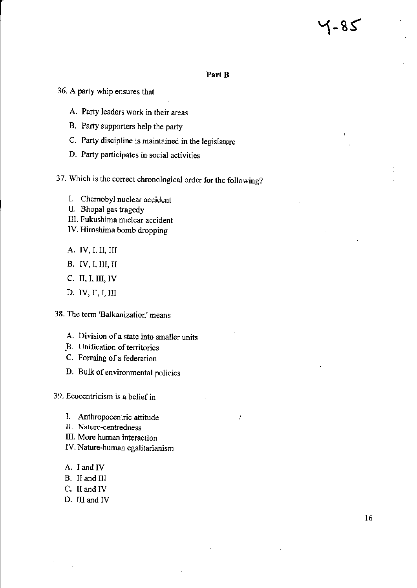# 78-1

#### Part B

t

- **36. A party whip ensures that** 
	- **A. Party leaders work in their areas**
	- B, Party supporters help the party
	- **C. Party discipline is maintained in the legislature**
	- **D. Party participates in social activities**
- **37. Which is the correct chronological order for the following?** 
	- **I. Chernobyl nuclear accident**
	- II. Bhopal gas tragedy
	- **III. Fukushima nuclear accident**
	- **IV. Hiroshima bomb dropping**
	- A, IV, I, II, III
	- B. IV, I, III, II
	- C, II, I, III, IV
	- D, IV, II, I, III
- **38. The tenn 'Balkanization' means** 
	- **A. Division of a state into smaller units**
	- ~B. **Unification** of territories
	- **C. Fonning of a federation**
	- **D. Bulk of environmental policies**

**39. Ecocentricism is a** belief in

- **1. Anthropocentric attitude**
- **II. Nature-centredness**
- **III. More human interaction**
- **IV. Nature-human egalitarianism**
- A, I and IV
- B. II and III
- C, II and IV
- D, III and IV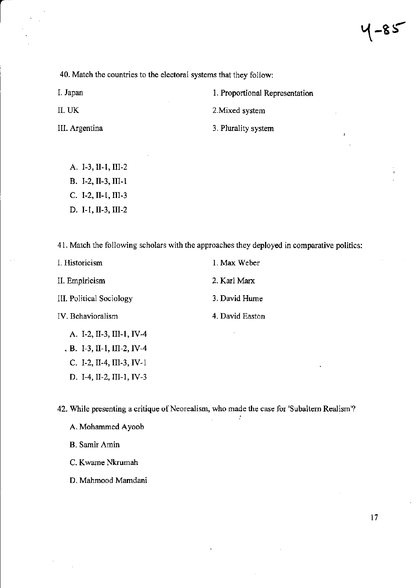**40. Match the countries to the electoral systems that they follow:** 

l. Japan

II. UK

**III. Argentina** 

**2.Mixed system** 

**1. Proportional Representation** 

3. Plurality system

- A. 1-3, II-I, III-2
- B. 1-2, II-3, III-I
- C. 1-2, II-I, III-3
- D. I-I, II-3, III-2

**41. Match the following scholars with the approaches they deployed in comparative politics:** 

| I. Historicism              | 1. Max Weber    |
|-----------------------------|-----------------|
| II. Empiricism              | 2. Karl Marx    |
| III. Political Sociology    | 3. David Hume   |
| IV. Behavioralism           | 4. David Easton |
| A. I-2, II-3, III-1, IV-4   |                 |
| $B. I-3, II-1, III-2, IV-4$ |                 |

D. 1-4, I1-2, III-I, IV-3

**42. While presenting a critique** of Neorealism, **who made the case for 'Subaltern Realism'?** 

÷

A. Mohammed Ayoob

C. 1-2, I1-4, III-3, IV-I

B. **Samir Amin** 

**C. K warne Nkrumah** 

D. Mahmood Mamdani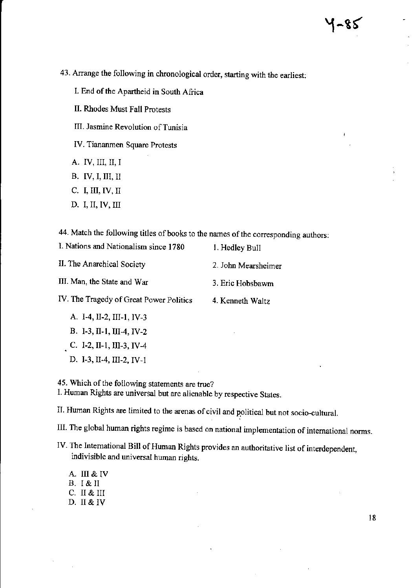- 43. Arrange the following in chronological order, starting with the earliest:
	- 1. End of the Apartheid in South Africa
	- II. Rhodes Must Fall Protests
	- III. Jasmine Revolution of Tunisia
	- IV. Tiananmen Square Protests
	- A. IV, III, II, I
	- B. IV, I, III, II
	- C. I, III, IV, II
	- D. I, II, IV, III

44. Match the following titles of books to the names of the corresponding authors:

| I. Nations and Nationalism since 1780   | 1. Hedley Bull      |
|-----------------------------------------|---------------------|
| II. The Anarchical Society              | 2. John Mearsheimer |
| III. Man, the State and War             | 3. Eric Hobsbawm    |
| IV. The Tragedy of Great Power Politics | 4. Kenneth Waltz    |
| A. I-4, II-2, III-1, IV-3               |                     |
| B. I-3, II-1, III-4, IV-2               | ٠                   |

C. I-2, II-1, III-3, IV-4

D. 1-3,11-4, III-2, IV-I

45. Which of the following statements are true?

I. Human Rights are universal but are alienable by respective States.

II. Human Rights are limited to the arenas of civil and political but not socio-cultural.

III. The global human rights regime is based on national implementation of international norms.

- IV. The International Bill of Human Rights provides an authoritative list of interdependent, indivisible and universal human rights.
	- A. III & IV B. I & II C. II & III D.II&IV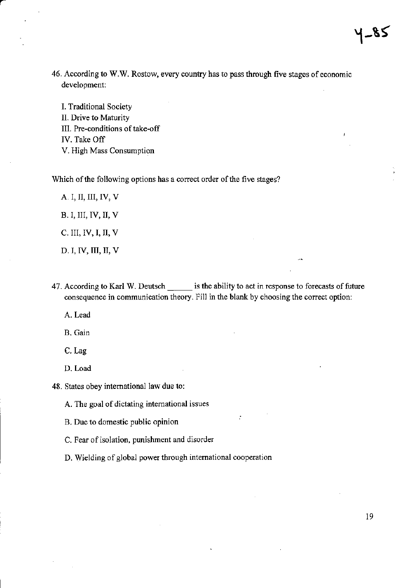46. According to W.W. Rostow, every country has to pass through five stages of economic development:

I. Traditional Society II. Drive to Maturity III. Pre-conditions of take-off IV. Take Off V. High Mass Consumption

Which of the following options has a correct order of the five stages?

A. I, II, III, IV, V B. I, III, IV, II, V C. III, IV, I, II, V D. I, IV, III, II, V

47. According to Karl W. Deutsch \_\_\_\_\_\_ is the ability to act in response to forecasts of future consequence in communication theory. Fill in the blank by choosing the correct option:

A. Lead

B.Gain

C.Lag

D. Load

48. States obey international law due to:

A. The goal of dictating international issues

B. Due to domestic public opinion

C. Fear of isolation, punishment and disorder

D. Wielding of global power through international cooperation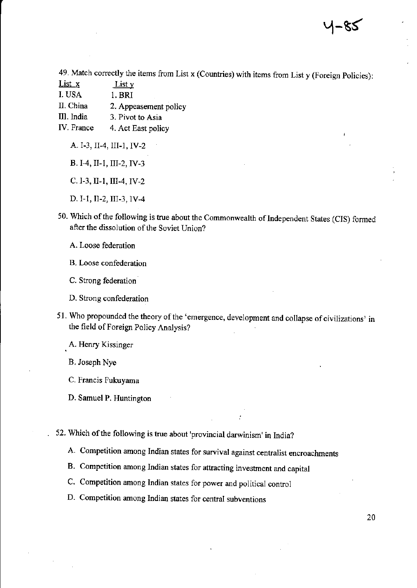49. Match correctly the items from List x (Countries) with items from List y (Foreign Policies):

- List x List y
- I. USA 1. BRl

II. China 2. Appeasement policy

III. India 3. Pivot to Asia

IV. France 4. Act East policy

A. 1-3, 11-4, III-I, IV-2

B. 1-4, 11-1, III-2, IV-3

C. 1-3, II-I, III-4, IV-2

- D. I-I, 11-2, III-3, IV-4
- 50. Which of the following is true about the Commonwealth of Independent States (CIS) fonned after the dissolution of the Soviet Union?

A. Loose federation

B. Loose confederation

C. Strong federation-

D. Strong confederation

51. Who propounded the theory of the 'emergence, development and collapse of civilizations' in the field of Foreign Policy Analysis?

A. Henry Kissinger

B. Joseph Nye

C. Francis Fukuyama

D. Samuel P. Huntington

52. Which of the following is true about 'provincial darwinism' in India?

A. Competition among Indian states for survival against centralist encroachments

B. Competition among Indian states for attracting investment and capital

C. Competition among Indian states for power and political control

D. Competition among Indian states for central subventions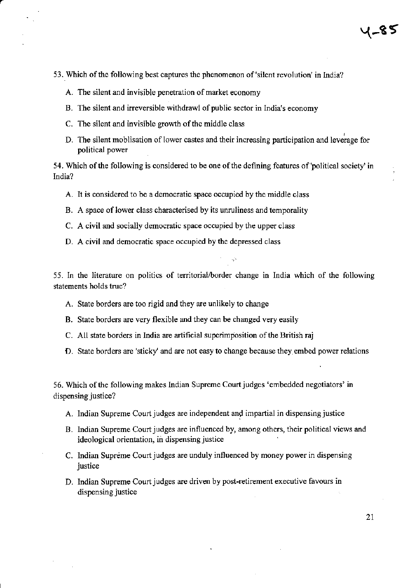- 53. Which of the following best captures the phenomenon of 'silent revolution' in India?
	- A. The silent and invisible penetration of market economy
	- B. The silent and irreversible withdrawl of public sector in India's economy
	-
	- C. The silent and invisible growth of the middle class<br>D. The silent moblisation of lower castes and their increasing participation and leverage for political power

54. Which of the fol1owing is considered to be one of the defining features of 'political society' in India?

- A. It is considered to be a democratic space occupied by the middle class
- B. A space of lower class characterised by its unruliness and temporality
- C. A civil and socially democratic space occupied by the upper class
- D. A civil and democratic space occupied by the depressed class

55. In the literature on politics of territorial/border change in India which of the following statements holds true?

- A. State borders are too rigid and they are unlikely to change
- B. State borders are very flexible and they can be changed very easily
- C. All state borders in India are artificial superimposition of the British raj
- D. State borders are 'sticky' and are not easy to change because they embed power relations

56. Which of the following makes Indian Supreme Court judges 'embedded negotiators' in dispensing justice?

- A. Indian Supreme Court judges are independent and impartial in dispensing justice
- B. Indian Supreme Court judges are influenced by, among others, their political views and ideological orientation, in dispensing justice
- C. Indian Supreme Court judges are unduly influenced by money power in dispensing justice
- D. Indian Supreme Court judges are driven by post-retirement executive favours in dispensing justice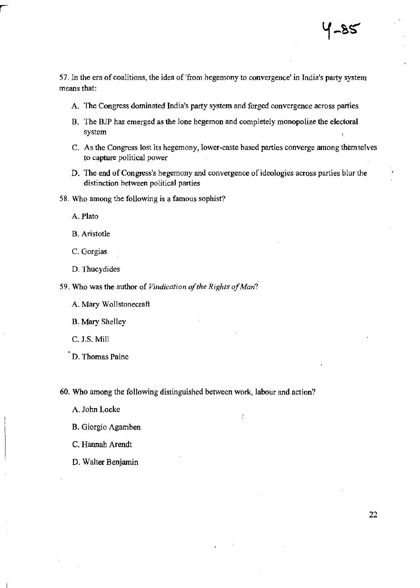57. In the era of coalitions, the idea of 'from hegemony to convergence' in India's party system means that:

- A. The Congress dominated India's party system and forged convergence across parties
- B. The BJP has emerged as the lone hegemon and completely monopolize the electoral system
- C. As the Congress lost its hegemony, lower-caste based parties converge among themselves to capture political power
- D. The end of Congress's hegemony and convergence of ideologies across parties blur the distinction between political parties
- 58. Who among the following is a famous sophist?

A. Plato

B. Aristotle

- C. Gorgias
- D. Thucydides
- 59. Who was the author of *Vindication of the Rights of Man?* 
	- A. Mary Wollstonecraft

B. Mary Shelley

C. J.S. Mill

D. Thomas Paine

60. Who among the following distinguished between work, labour and action?

- A. John Locke
- B. Giorgio Agamben
- C. Hannah Arendt
- D. Walter Benjamin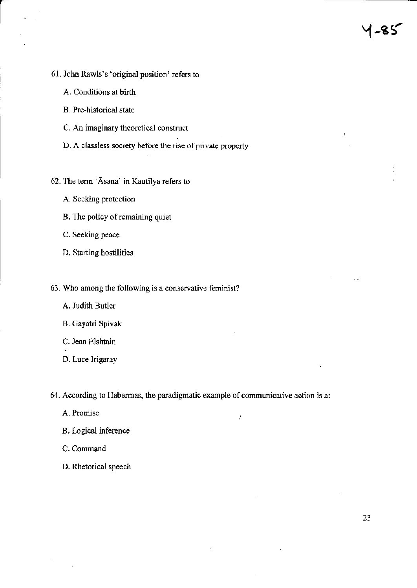- 61. John Rawls's 'original position' refers to
	- A. Conditions at birth
	- B. Pre-historical state
	- C. An imaginary theoretical construct
	- D. A classless society before the rise of private property
- 62. The term 'Asana' in Kautilya refers to
	- A. Seeking protection
	- B. The policy of remaining quiet
	- C. Seeking peace
	- D. Starting hostilities
- 63. Who among the following is a conservative feminist?
	- A. Judith Butler
	- B. Gayatri Spivak
	- C. Jean Elshtain
	- D. Luce Irigaray

64. According to Habermas, the paradigmatic example of communicative action is a:

 $\mathcal{C}$ 

- A. Promise
- B. Logical inference
- C. Command
- D. Rhetorical speech

1-85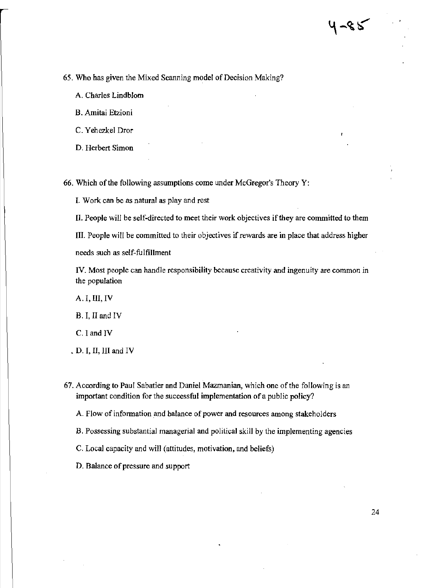65. Who has given the Mixed Scanning model of Decision Making?

A. Charles Lindblom

B. Amitai Etzioni

c. Yehezkel Dror

D. Herbert Simon

66. Which of the following assumptions come under McGregor's Theory Y:

I. Work can be as natural as play and rest

II. People will be self-directed to meet their work objectives if they are committed to them

III. People will be committed to their objectives if rewards are in place that address higher

needs such as self-fulfillment

IV. Most people can handle responsibility because creativity and ingenuity are common in the population

A. I, III, IV

B. I, II and IV

C.I and IV

• D. I, II, III and IV

67. According to Paul Sabatier and Daniel Mazmanian, which one of the following is an important condition for the successful implementation of a public policy?

A. Flow of information and balance of power and resources among stakeholders

B. Possessing substantial managerial and political skill by the implementing agencies

C. Local capacity and will (attitudes, motivation, and beliefs)

D. Balance of pressure and support

4-85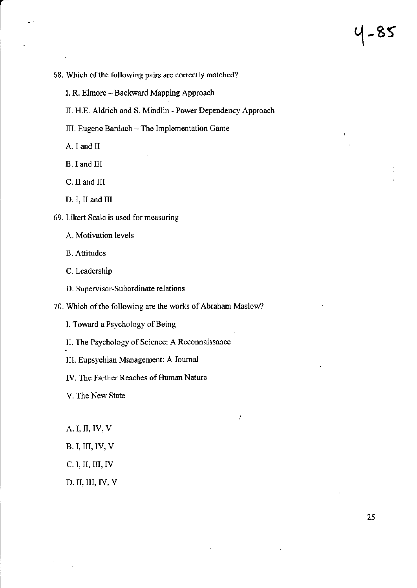- 68. Which of the following pairs are correctly matched?
	- 1. R. Elmore Backward Mapping Approach
	- II. H.E. Aldrich and S. Mindlin Power Dependency Approach
	- III. Eugene Bardach The Implementation Game
	- A. I and II
	- B. I and III
	- C. II and III
	- D. I, II and III
- 69. Likert Scale is used for measuring
	- A. Motivation levels
	- B. Attitudes
	- C. Leadership
	- D. Supervisor-Subordinate relations

70. Which of the following are the works of Abraham Maslow?

t

- I. Toward a Psychology of Being
- II. The Psychology of Science: A Reconnaissance
- III. Eupsychian Management: A Journal
- IV. The Farther Reaches of Human Nature
- V. The New State
- A. I, II, IV, V
- B. I, III, IV, V
- C. I, II, III, IV
- D. II, III, IV, V